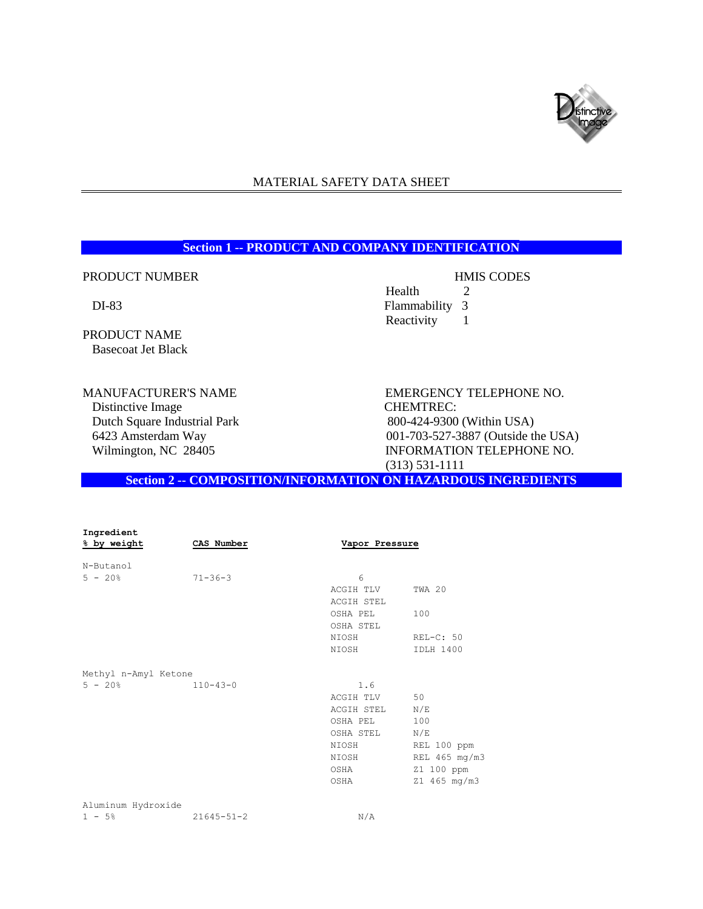

#### MATERIAL SAFETY DATA SHEET

# **Section 1 -- PRODUCT AND COMPANY IDENTIFICATION**

PRODUCT NUMBER HMIS CODES

PRODUCT NAME Basecoat Jet Black

Distinctive Image CHEMTREC:

# Health 2 DI-83 Flammability 3 Reactivity 1

MANUFACTURER'S NAME EMERGENCY TELEPHONE NO. Dutch Square Industrial Park 800-424-9300 (Within USA)<br>6423 Amsterdam Way 001-703-527-3887 (Outside th 001-703-527-3887 (Outside the USA) Wilmington, NC 28405 **INFORMATION TELEPHONE NO.** (313) 531-1111

**Section 2 -- COMPOSITION/INFORMATION ON HAZARDOUS INGREDIENTS**

| Ingredient<br>% by weight | CAS Number       | Vapor Pressure |               |
|---------------------------|------------------|----------------|---------------|
|                           |                  |                |               |
| N-Butanol                 |                  |                |               |
| $5 - 20%$                 | $71 - 36 - 3$    | 6              |               |
|                           |                  | ACGIH TLV      | TWA 20        |
|                           |                  | ACGIH STEL     |               |
|                           |                  | OSHA PEL       | 100           |
|                           |                  | OSHA STEL      |               |
|                           |                  | NIOSH          | REL-C: 50     |
|                           |                  | NIOSH          | IDLH 1400     |
| Methyl n-Amyl Ketone      |                  |                |               |
| $5 - 20%$                 | $110 - 43 - 0$   | 1.6            |               |
|                           |                  | ACGIH TLV      | 50            |
|                           |                  | ACGIH STEL     | N/E           |
|                           |                  | OSHA PEL       | 100           |
|                           |                  | OSHA STEL      | N/E           |
|                           |                  | NIOSH          | REL 100 ppm   |
|                           |                  | NIOSH          | REL 465 mg/m3 |
|                           |                  | OSHA           | Z1 100 ppm    |
|                           |                  | OSHA           | Z1 465 mg/m3  |
| Aluminum Hydroxide        |                  |                |               |
| $1 - 5%$                  | $21645 - 51 - 2$ | N/A            |               |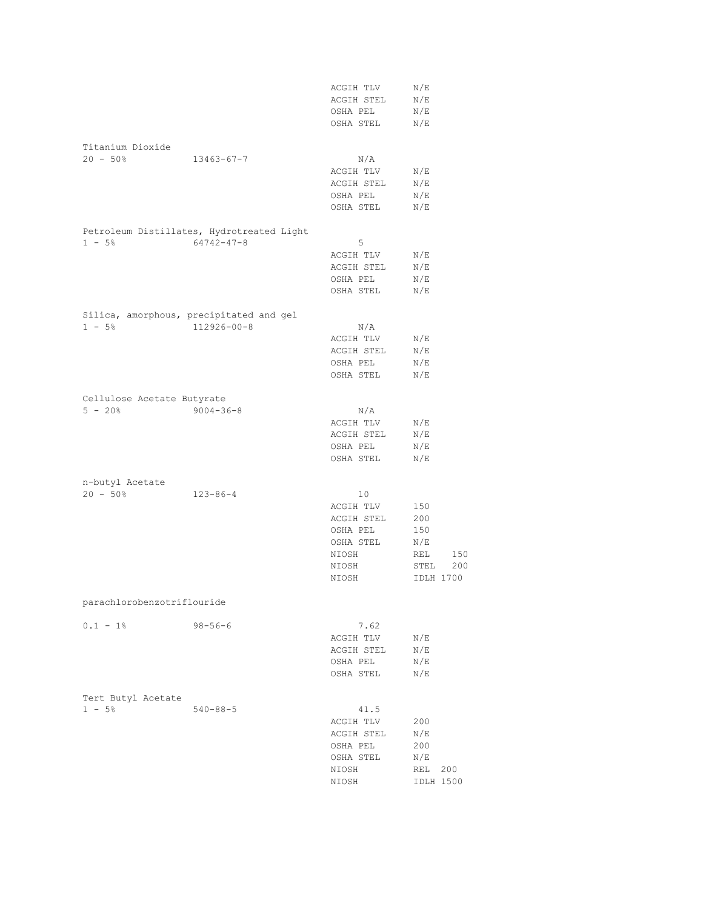|                                         |                                                              | ACGIH TLV<br>ACGIH STEL<br>OSHA PEL<br>OSHA STEL                                  | N/E<br>N/E<br>N/E<br>N/E                                           |
|-----------------------------------------|--------------------------------------------------------------|-----------------------------------------------------------------------------------|--------------------------------------------------------------------|
| Titanium Dioxide<br>$20 - 50$ %         | $13463 - 67 - 7$                                             | N/A<br>ACGIH TLV<br>ACGIH STEL<br>OSHA PEL<br>OSHA STEL                           | N/E<br>N/E<br>N/E<br>N/E                                           |
|                                         | Petroleum Distillates, Hydrotreated Light                    |                                                                                   |                                                                    |
| $1 - 5$                                 | $64742 - 47 - 8$                                             | 5<br>ACGIH TLV<br>ACGIH STEL<br>OSHA PEL<br>OSHA STEL                             | N/E<br>N/E<br>N/E<br>N/E                                           |
| $1 - 5%$                                | Silica, amorphous, precipitated and gel<br>$112926 - 00 - 8$ | N/A<br>ACGIH TLV<br>ACGIH STEL<br>OSHA PEL<br>OSHA STEL                           | N/E<br>N/E<br>N/E<br>N/E                                           |
| Cellulose Acetate Butyrate<br>$5 - 20%$ | $9004 - 36 - 8$                                              | N/A<br>ACGIH TLV<br>ACGIH STEL<br>OSHA PEL<br>OSHA STEL                           | N/E<br>N/E<br>N/E<br>N/E                                           |
| n-butyl Acetate<br>$20 - 50$ %          | $123 - 86 - 4$                                               | 10<br>ACGIH TLV<br>ACGIH STEL<br>OSHA PEL<br>OSHA STEL<br>NIOSH<br>NIOSH<br>NIOSH | 150<br>200<br>150<br>N/E<br>REL<br>150<br>200<br>STEL<br>IDLH 1700 |
| parachlorobenzotriflouride              |                                                              |                                                                                   |                                                                    |
| $0.1 - 1$ %                             | $98 - 56 - 6$                                                | 7.62<br>ACGIH TLV<br>ACGIH STEL<br>OSHA PEL<br>OSHA STEL                          | N/E<br>N/E<br>N/E<br>N/E                                           |
| Tert Butyl Acetate<br>$1 - 5$ %         | $540 - 88 - 5$                                               | 41.5<br>ACGIH TLV<br>ACGIH STEL<br>OSHA PEL<br>OSHA STEL<br>NIOSH<br>NIOSH        | 200<br>N/E<br>200<br>N/E<br>200<br>REL<br>IDLH 1500                |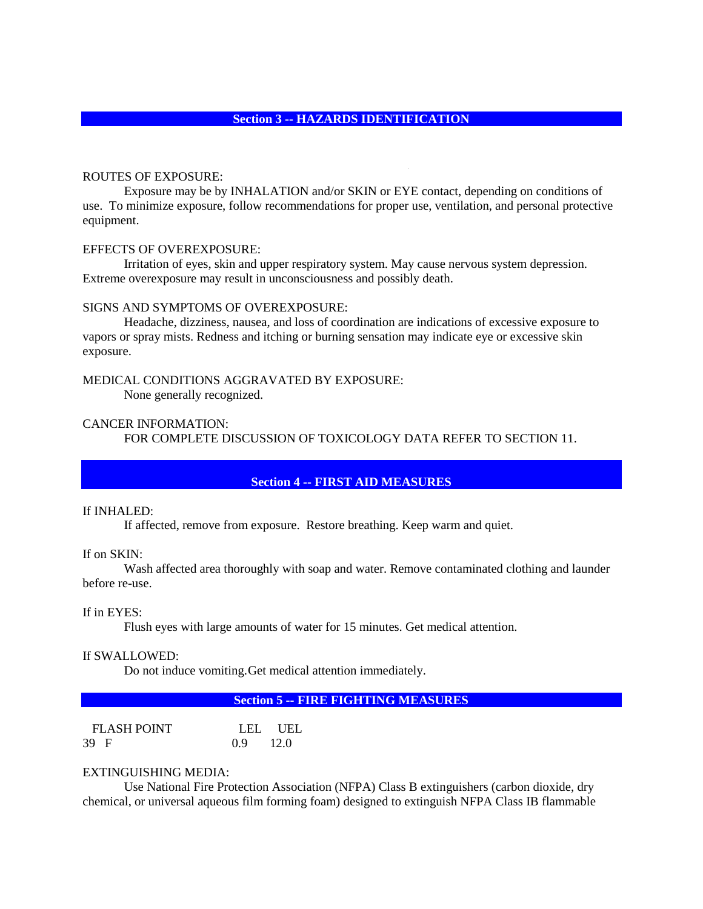# ROUTES OF EXPOSURE:

Exposure may be by INHALATION and/or SKIN or EYE contact, depending on conditions of use. To minimize exposure, follow recommendations for proper use, ventilation, and personal protective equipment.

## EFFECTS OF OVEREXPOSURE:

Irritation of eyes, skin and upper respiratory system. May cause nervous system depression. Extreme overexposure may result in unconsciousness and possibly death.

#### SIGNS AND SYMPTOMS OF OVEREXPOSURE:

Headache, dizziness, nausea, and loss of coordination are indications of excessive exposure to vapors or spray mists. Redness and itching or burning sensation may indicate eye or excessive skin exposure.

#### MEDICAL CONDITIONS AGGRAVATED BY EXPOSURE:

None generally recognized.

#### CANCER INFORMATION:

FOR COMPLETE DISCUSSION OF TOXICOLOGY DATA REFER TO SECTION 11.

# **Section 4 -- FIRST AID MEASURES**

#### If INHALED:

If affected, remove from exposure. Restore breathing. Keep warm and quiet.

#### If on SKIN:

Wash affected area thoroughly with soap and water. Remove contaminated clothing and launder before re-use.

# If in EYES:

Flush eyes with large amounts of water for 15 minutes. Get medical attention.

#### If SWALLOWED:

Do not induce vomiting.Get medical attention immediately.

# **Section 5 -- FIRE FIGHTING MEASURES**

|      | <b>FLASH POINT</b> | LEL UEL |
|------|--------------------|---------|
| 39 F |                    | $-12.0$ |

# EXTINGUISHING MEDIA:

Use National Fire Protection Association (NFPA) Class B extinguishers (carbon dioxide, dry chemical, or universal aqueous film forming foam) designed to extinguish NFPA Class IB flammable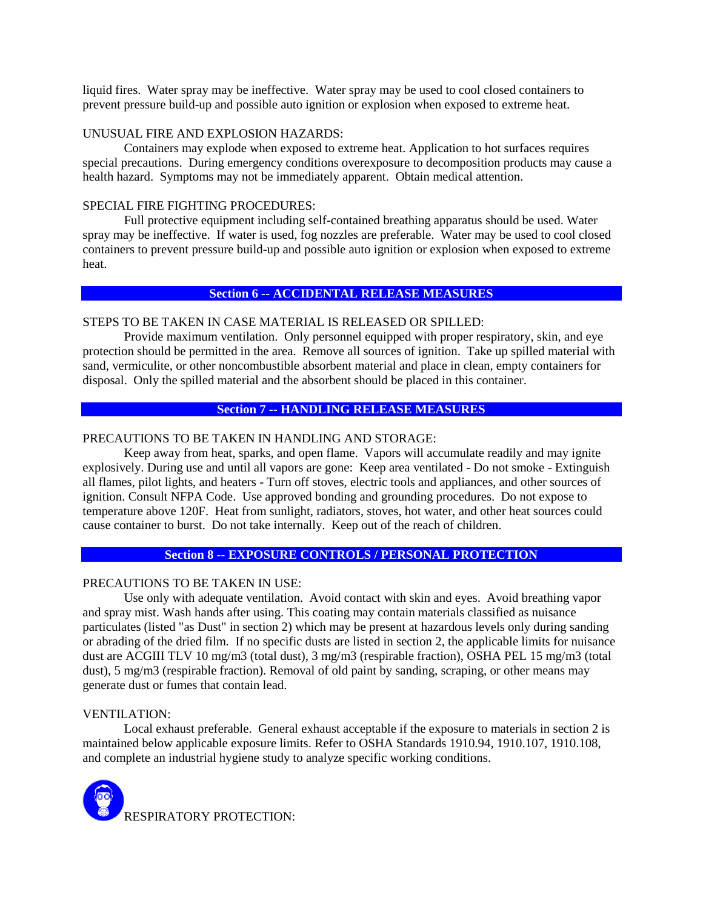liquid fires. Water spray may be ineffective. Water spray may be used to cool closed containers to prevent pressure build-up and possible auto ignition or explosion when exposed to extreme heat.

# UNUSUAL FIRE AND EXPLOSION HAZARDS:

Containers may explode when exposed to extreme heat. Application to hot surfaces requires special precautions. During emergency conditions overexposure to decomposition products may cause a health hazard. Symptoms may not be immediately apparent. Obtain medical attention.

# SPECIAL FIRE FIGHTING PROCEDURES:

Full protective equipment including self-contained breathing apparatus should be used. Water spray may be ineffective. If water is used, fog nozzles are preferable. Water may be used to cool closed containers to prevent pressure build-up and possible auto ignition or explosion when exposed to extreme heat.

# **Section 6 -- ACCIDENTAL RELEASE MEASURES**

# STEPS TO BE TAKEN IN CASE MATERIAL IS RELEASED OR SPILLED:

Provide maximum ventilation. Only personnel equipped with proper respiratory, skin, and eye protection should be permitted in the area. Remove all sources of ignition. Take up spilled material with sand, vermiculite, or other noncombustible absorbent material and place in clean, empty containers for disposal. Only the spilled material and the absorbent should be placed in this container.

# **Section 7 -- HANDLING RELEASE MEASURES**

# PRECAUTIONS TO BE TAKEN IN HANDLING AND STORAGE:

Keep away from heat, sparks, and open flame. Vapors will accumulate readily and may ignite explosively. During use and until all vapors are gone: Keep area ventilated - Do not smoke - Extinguish all flames, pilot lights, and heaters - Turn off stoves, electric tools and appliances, and other sources of ignition. Consult NFPA Code. Use approved bonding and grounding procedures. Do not expose to temperature above 120F. Heat from sunlight, radiators, stoves, hot water, and other heat sources could cause container to burst. Do not take internally. Keep out of the reach of children.

# **Section 8 -- EXPOSURE CONTROLS / PERSONAL PROTECTION**

# PRECAUTIONS TO BE TAKEN IN USE:

Use only with adequate ventilation. Avoid contact with skin and eyes. Avoid breathing vapor and spray mist. Wash hands after using. This coating may contain materials classified as nuisance particulates (listed "as Dust" in section 2) which may be present at hazardous levels only during sanding or abrading of the dried film. If no specific dusts are listed in section 2, the applicable limits for nuisance dust are ACGIII TLV 10 mg/m3 (total dust), 3 mg/m3 (respirable fraction), OSHA PEL 15 mg/m3 (total dust), 5 mg/m3 (respirable fraction). Removal of old paint by sanding, scraping, or other means may generate dust or fumes that contain lead.

#### VENTILATION:

Local exhaust preferable. General exhaust acceptable if the exposure to materials in section 2 is maintained below applicable exposure limits. Refer to OSHA Standards 1910.94, 1910.107, 1910.108, and complete an industrial hygiene study to analyze specific working conditions.

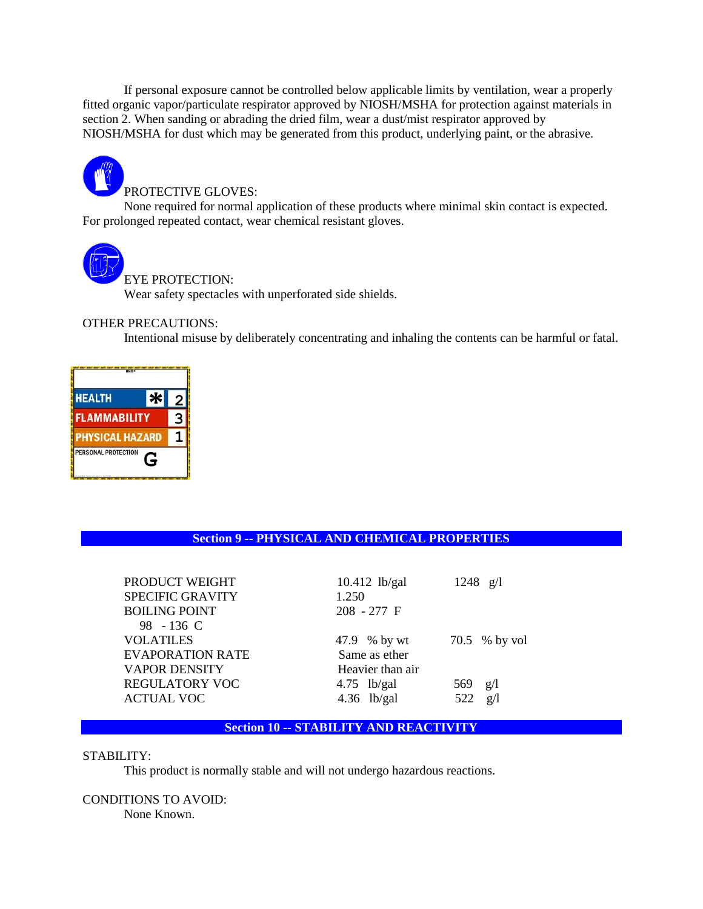If personal exposure cannot be controlled below applicable limits by ventilation, wear a properly fitted organic vapor/particulate respirator approved by NIOSH/MSHA for protection against materials in section 2. When sanding or abrading the dried film, wear a dust/mist respirator approved by NIOSH/MSHA for dust which may be generated from this product, underlying paint, or the abrasive.

# PROTECTIVE GLOVES:

None required for normal application of these products where minimal skin contact is expected. For prolonged repeated contact, wear chemical resistant gloves.



# EYE PROTECTION:

Wear safety spectacles with unperforated side shields.

# OTHER PRECAUTIONS:

Intentional misuse by deliberately concentrating and inhaling the contents can be harmful or fatal.



# **Section 9 -- PHYSICAL AND CHEMICAL PROPERTIES**

| PRODUCT WEIGHT<br><b>SPECIFIC GRAVITY</b><br><b>BOILING POINT</b> | $10.412$ lb/gal<br>1.250<br>$208 - 277$ F | $1248$ g/l               |
|-------------------------------------------------------------------|-------------------------------------------|--------------------------|
| 98 - 136 C<br><b>VOLATILES</b>                                    | 47.9 % by wt                              | 70.5 % by vol            |
| <b>EVAPORATION RATE</b><br><b>VAPOR DENSITY</b>                   | Same as ether<br>Heavier than air         |                          |
| <b>REGULATORY VOC</b><br><b>ACTUAL VOC</b>                        | $4.75$ lb/gal<br>$4.36$ lb/gal            | g/l<br>569<br>g/l<br>522 |

# **Section 10 -- STABILITY AND REACTIVITY**

STABILITY:

This product is normally stable and will not undergo hazardous reactions.

CONDITIONS TO AVOID: None Known.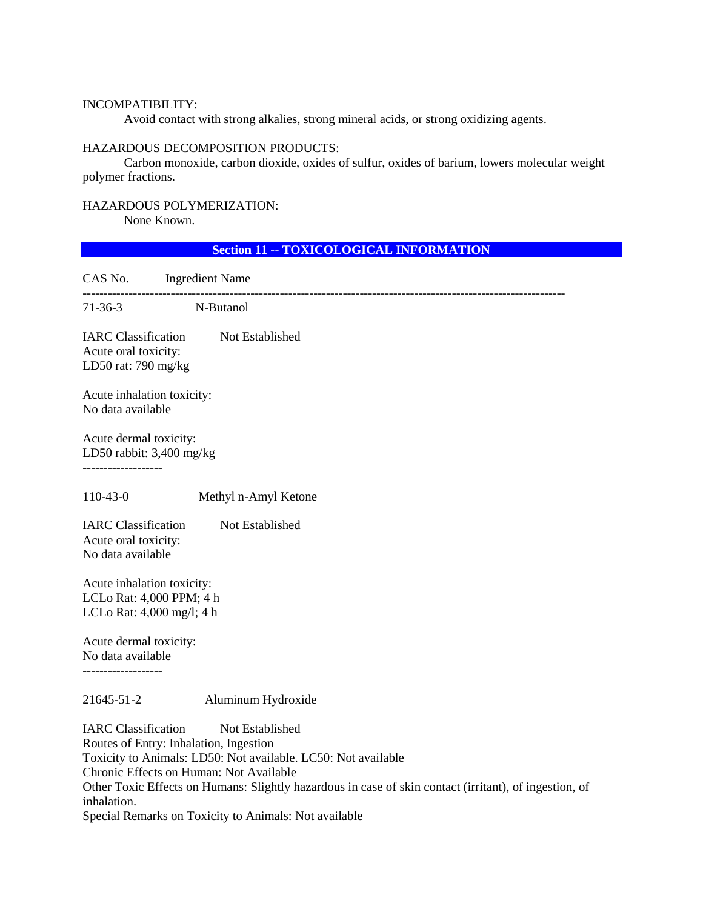# INCOMPATIBILITY:

Avoid contact with strong alkalies, strong mineral acids, or strong oxidizing agents.

# HAZARDOUS DECOMPOSITION PRODUCTS:

Carbon monoxide, carbon dioxide, oxides of sulfur, oxides of barium, lowers molecular weight polymer fractions.

# HAZARDOUS POLYMERIZATION:

None Known.

# **Section 11 -- TOXICOLOGICAL INFORMATION**

|                                                                                     | CAS No. Ingredient Name                                                                                                                                                                                                                                                         |
|-------------------------------------------------------------------------------------|---------------------------------------------------------------------------------------------------------------------------------------------------------------------------------------------------------------------------------------------------------------------------------|
|                                                                                     | 71-36-3 N-Butanol                                                                                                                                                                                                                                                               |
| Acute oral toxicity:<br>LD50 rat: $790$ mg/kg                                       | <b>IARC Classification</b> Not Established                                                                                                                                                                                                                                      |
| Acute inhalation toxicity:<br>No data available                                     |                                                                                                                                                                                                                                                                                 |
| Acute dermal toxicity:<br>LD50 rabbit: 3,400 mg/kg<br>-------------------           |                                                                                                                                                                                                                                                                                 |
| $110-43-0$                                                                          | Methyl n-Amyl Ketone                                                                                                                                                                                                                                                            |
| <b>IARC</b> Classification<br>Acute oral toxicity:<br>No data available             | Not Established                                                                                                                                                                                                                                                                 |
| Acute inhalation toxicity:<br>LCLo Rat: 4,000 PPM; 4 h<br>LCLo Rat: 4,000 mg/l; 4 h |                                                                                                                                                                                                                                                                                 |
| Acute dermal toxicity:<br>No data available<br>-------------------                  |                                                                                                                                                                                                                                                                                 |
| 21645-51-2                                                                          | Aluminum Hydroxide                                                                                                                                                                                                                                                              |
| <b>IARC</b> Classification<br>inhalation.                                           | Not Established<br>Routes of Entry: Inhalation, Ingestion<br>Toxicity to Animals: LD50: Not available. LC50: Not available<br>Chronic Effects on Human: Not Available<br>Other Toxic Effects on Humans: Slightly hazardous in case of skin contact (irritant), of ingestion, of |

Special Remarks on Toxicity to Animals: Not available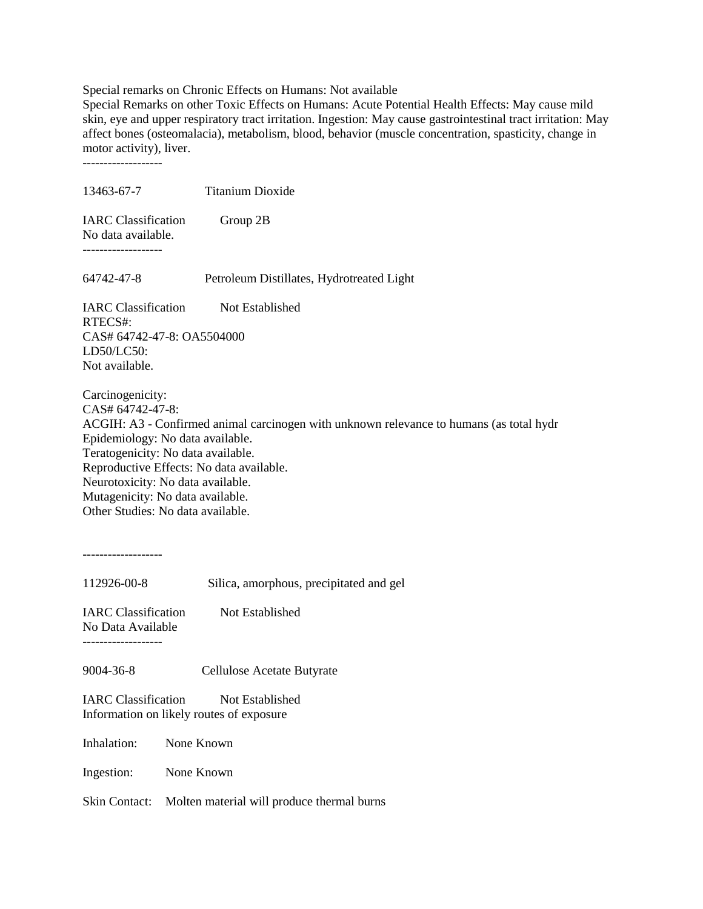Special remarks on Chronic Effects on Humans: Not available

Special Remarks on other Toxic Effects on Humans: Acute Potential Health Effects: May cause mild skin, eye and upper respiratory tract irritation. Ingestion: May cause gastrointestinal tract irritation: May affect bones (osteomalacia), metabolism, blood, behavior (muscle concentration, spasticity, change in motor activity), liver.

-------------------

| 13463-67-7                                                                                          | <b>Titanium Dioxide</b>                                                                                                                                                                                                                                                                 |
|-----------------------------------------------------------------------------------------------------|-----------------------------------------------------------------------------------------------------------------------------------------------------------------------------------------------------------------------------------------------------------------------------------------|
| <b>IARC</b> Classification<br>No data available.                                                    | Group 2B                                                                                                                                                                                                                                                                                |
| 64742-47-8                                                                                          | Petroleum Distillates, Hydrotreated Light                                                                                                                                                                                                                                               |
| <b>IARC</b> Classification<br>RTECS#:<br>CAS# 64742-47-8: OA5504000<br>LD50/LC50:<br>Not available. | Not Established                                                                                                                                                                                                                                                                         |
| Carcinogenicity:<br>CAS# 64742-47-8:<br>Mutagenicity: No data available.                            | ACGIH: A3 - Confirmed animal carcinogen with unknown relevance to humans (as total hydr<br>Epidemiology: No data available.<br>Teratogenicity: No data available.<br>Reproductive Effects: No data available.<br>Neurotoxicity: No data available.<br>Other Studies: No data available. |
| ------------------                                                                                  |                                                                                                                                                                                                                                                                                         |
| 112926-00-8                                                                                         | Silica, amorphous, precipitated and gel                                                                                                                                                                                                                                                 |
| <b>IARC</b> Classification<br>No Data Available                                                     | Not Established                                                                                                                                                                                                                                                                         |
| 9004-36-8                                                                                           | Cellulose Acetate Butyrate                                                                                                                                                                                                                                                              |
|                                                                                                     | <b>IARC</b> Classification Not Established<br>Information on likely routes of exposure                                                                                                                                                                                                  |
| Inhalation:                                                                                         | None Known                                                                                                                                                                                                                                                                              |
| Ingestion:                                                                                          | None Known                                                                                                                                                                                                                                                                              |
| Skin Contact:                                                                                       | Molten material will produce thermal burns                                                                                                                                                                                                                                              |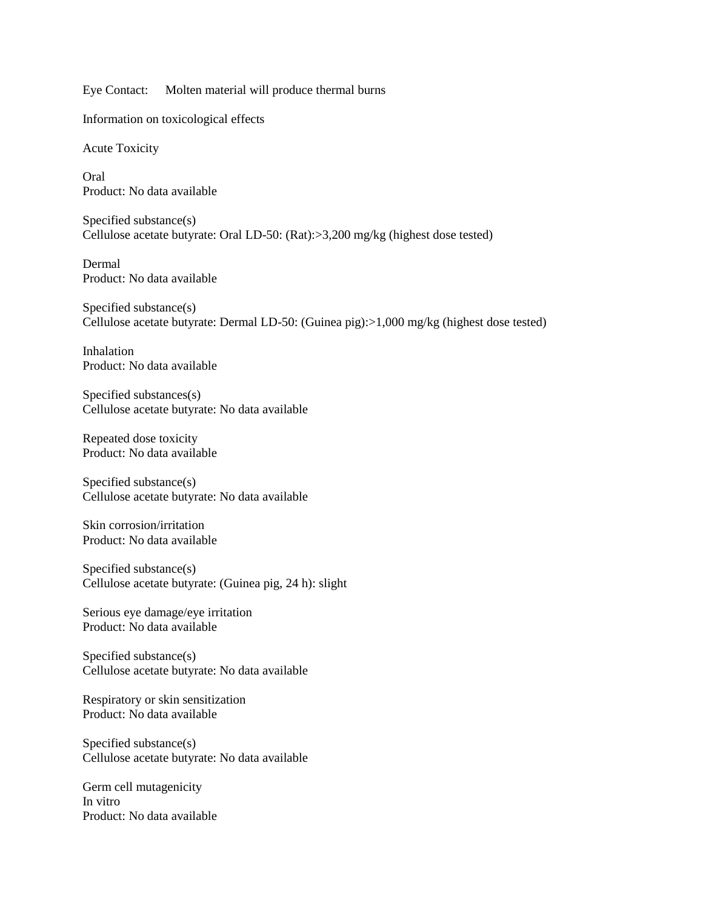Eye Contact: Molten material will produce thermal burns

Information on toxicological effects

Acute Toxicity

Oral Product: No data available

Specified substance(s) Cellulose acetate butyrate: Oral LD-50: (Rat):>3,200 mg/kg (highest dose tested)

Dermal Product: No data available

Specified substance(s) Cellulose acetate butyrate: Dermal LD-50: (Guinea pig):>1,000 mg/kg (highest dose tested)

Inhalation Product: No data available

Specified substances(s) Cellulose acetate butyrate: No data available

Repeated dose toxicity Product: No data available

Specified substance(s) Cellulose acetate butyrate: No data available

Skin corrosion/irritation Product: No data available

Specified substance(s) Cellulose acetate butyrate: (Guinea pig, 24 h): slight

Serious eye damage/eye irritation Product: No data available

Specified substance(s) Cellulose acetate butyrate: No data available

Respiratory or skin sensitization Product: No data available

Specified substance(s) Cellulose acetate butyrate: No data available

Germ cell mutagenicity In vitro Product: No data available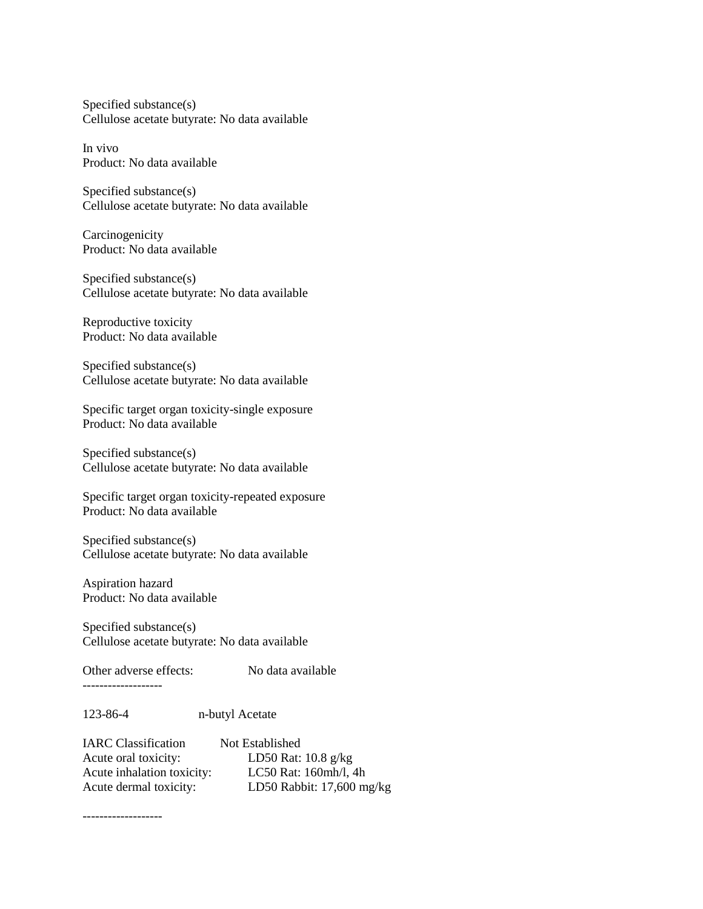Specified substance(s) Cellulose acetate butyrate: No data available

In vivo Product: No data available

Specified substance(s) Cellulose acetate butyrate: No data available

**Carcinogenicity** Product: No data available

Specified substance(s) Cellulose acetate butyrate: No data available

Reproductive toxicity Product: No data available

Specified substance(s) Cellulose acetate butyrate: No data available

Specific target organ toxicity-single exposure Product: No data available

Specified substance(s) Cellulose acetate butyrate: No data available

Specific target organ toxicity-repeated exposure Product: No data available

Specified substance(s) Cellulose acetate butyrate: No data available

Aspiration hazard Product: No data available

Specified substance(s) Cellulose acetate butyrate: No data available

Other adverse effects: No data available

-------------------

123-86-4 n-butyl Acetate

| <b>IARC</b> Classification | Not Established             |
|----------------------------|-----------------------------|
| Acute oral toxicity:       | LD50 Rat: $10.8$ g/kg       |
| Acute inhalation toxicity: | LC50 Rat: 160mh/l, 4h       |
| Acute dermal toxicity:     | LD50 Rabbit: $17,600$ mg/kg |

-------------------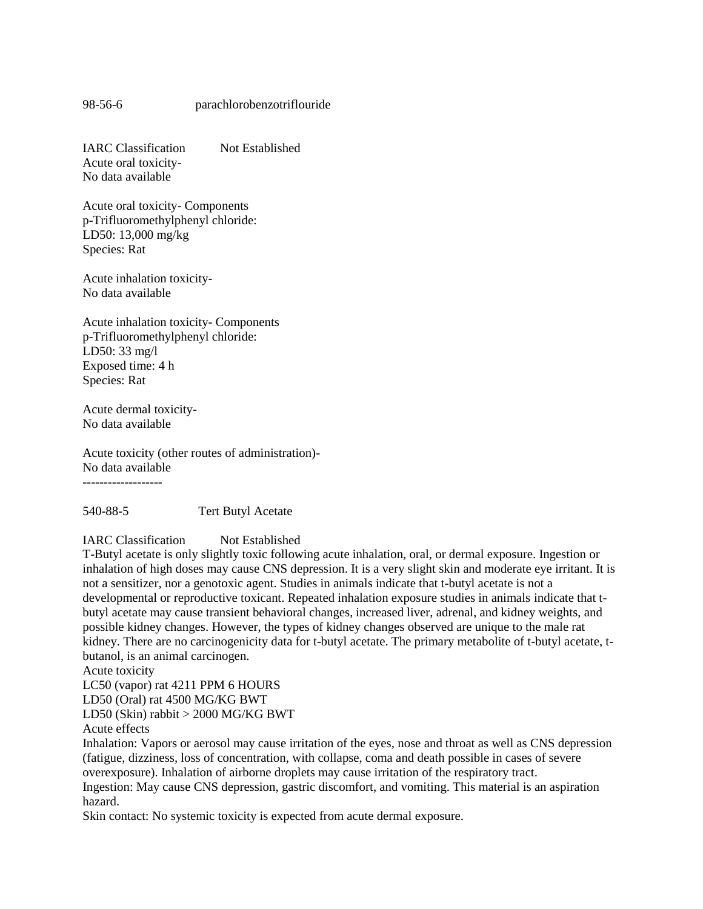98-56-6 parachlorobenzotriflouride

IARC Classification Not Established Acute oral toxicity-No data available

Acute oral toxicity- Components p-Trifluoromethylphenyl chloride: LD50: 13,000 mg/kg Species: Rat

Acute inhalation toxicity-No data available

Acute inhalation toxicity- Components p-Trifluoromethylphenyl chloride: LD50: 33 mg/l Exposed time: 4 h Species: Rat

Acute dermal toxicity-No data available

Acute toxicity (other routes of administration)- No data available -------------------

540-88-5 Tert Butyl Acetate

IARC Classification Not Established

T-Butyl acetate is only slightly toxic following acute inhalation, oral, or dermal exposure. Ingestion or inhalation of high doses may cause CNS depression. It is a very slight skin and moderate eye irritant. It is not a sensitizer, nor a genotoxic agent. Studies in animals indicate that t-butyl acetate is not a developmental or reproductive toxicant. Repeated inhalation exposure studies in animals indicate that tbutyl acetate may cause transient behavioral changes, increased liver, adrenal, and kidney weights, and possible kidney changes. However, the types of kidney changes observed are unique to the male rat kidney. There are no carcinogenicity data for t-butyl acetate. The primary metabolite of t-butyl acetate, tbutanol, is an animal carcinogen.

Acute toxicity

LC50 (vapor) rat 4211 PPM 6 HOURS

LD50 (Oral) rat 4500 MG/KG BWT

LD50 (Skin) rabbit > 2000 MG/KG BWT

Acute effects

Inhalation: Vapors or aerosol may cause irritation of the eyes, nose and throat as well as CNS depression (fatigue, dizziness, loss of concentration, with collapse, coma and death possible in cases of severe overexposure). Inhalation of airborne droplets may cause irritation of the respiratory tract.

Ingestion: May cause CNS depression, gastric discomfort, and vomiting. This material is an aspiration hazard.

Skin contact: No systemic toxicity is expected from acute dermal exposure.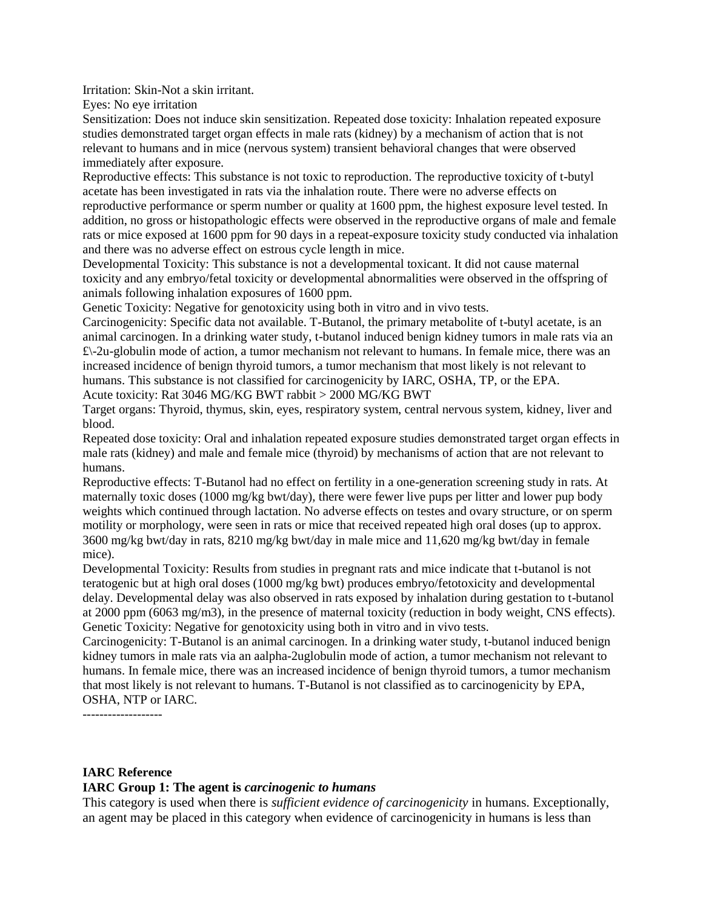Irritation: Skin-Not a skin irritant.

Eyes: No eye irritation

Sensitization: Does not induce skin sensitization. Repeated dose toxicity: Inhalation repeated exposure studies demonstrated target organ effects in male rats (kidney) by a mechanism of action that is not relevant to humans and in mice (nervous system) transient behavioral changes that were observed immediately after exposure.

Reproductive effects: This substance is not toxic to reproduction. The reproductive toxicity of t-butyl acetate has been investigated in rats via the inhalation route. There were no adverse effects on reproductive performance or sperm number or quality at 1600 ppm, the highest exposure level tested. In addition, no gross or histopathologic effects were observed in the reproductive organs of male and female rats or mice exposed at 1600 ppm for 90 days in a repeat-exposure toxicity study conducted via inhalation and there was no adverse effect on estrous cycle length in mice.

Developmental Toxicity: This substance is not a developmental toxicant. It did not cause maternal toxicity and any embryo/fetal toxicity or developmental abnormalities were observed in the offspring of animals following inhalation exposures of 1600 ppm.

Genetic Toxicity: Negative for genotoxicity using both in vitro and in vivo tests.

Carcinogenicity: Specific data not available. T-Butanol, the primary metabolite of t-butyl acetate, is an animal carcinogen. In a drinking water study, t-butanol induced benign kidney tumors in male rats via an  $\pounds\$ -2u-globulin mode of action, a tumor mechanism not relevant to humans. In female mice, there was an increased incidence of benign thyroid tumors, a tumor mechanism that most likely is not relevant to humans. This substance is not classified for carcinogenicity by IARC, OSHA, TP, or the EPA. Acute toxicity: Rat 3046 MG/KG BWT rabbit > 2000 MG/KG BWT

Target organs: Thyroid, thymus, skin, eyes, respiratory system, central nervous system, kidney, liver and blood.

Repeated dose toxicity: Oral and inhalation repeated exposure studies demonstrated target organ effects in male rats (kidney) and male and female mice (thyroid) by mechanisms of action that are not relevant to humans.

Reproductive effects: T-Butanol had no effect on fertility in a one-generation screening study in rats. At maternally toxic doses (1000 mg/kg bwt/day), there were fewer live pups per litter and lower pup body weights which continued through lactation. No adverse effects on testes and ovary structure, or on sperm motility or morphology, were seen in rats or mice that received repeated high oral doses (up to approx. 3600 mg/kg bwt/day in rats, 8210 mg/kg bwt/day in male mice and 11,620 mg/kg bwt/day in female mice).

Developmental Toxicity: Results from studies in pregnant rats and mice indicate that t-butanol is not teratogenic but at high oral doses (1000 mg/kg bwt) produces embryo/fetotoxicity and developmental delay. Developmental delay was also observed in rats exposed by inhalation during gestation to t-butanol at 2000 ppm (6063 mg/m3), in the presence of maternal toxicity (reduction in body weight, CNS effects). Genetic Toxicity: Negative for genotoxicity using both in vitro and in vivo tests.

Carcinogenicity: T-Butanol is an animal carcinogen. In a drinking water study, t-butanol induced benign kidney tumors in male rats via an aalpha-2uglobulin mode of action, a tumor mechanism not relevant to humans. In female mice, there was an increased incidence of benign thyroid tumors, a tumor mechanism that most likely is not relevant to humans. T-Butanol is not classified as to carcinogenicity by EPA, OSHA, NTP or IARC.

-------------------

# **IARC Reference**

# **IARC Group 1: The agent is** *carcinogenic to humans*

This category is used when there is *sufficient evidence of carcinogenicity* in humans. Exceptionally, an agent may be placed in this category when evidence of carcinogenicity in humans is less than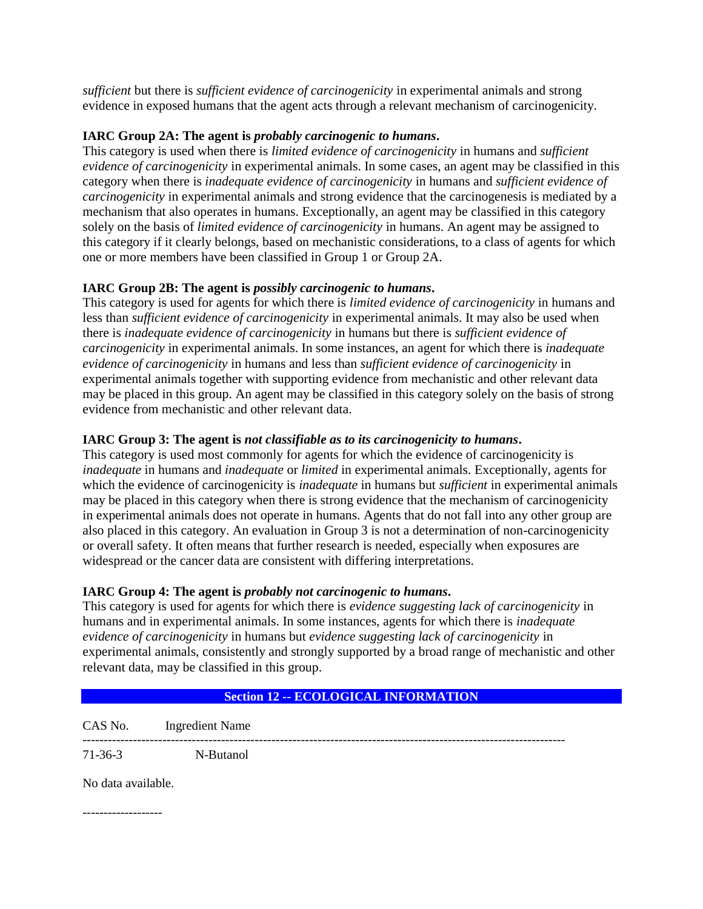*sufficient* but there is *sufficient evidence of carcinogenicity* in experimental animals and strong evidence in exposed humans that the agent acts through a relevant mechanism of carcinogenicity.

# **IARC Group 2A: The agent is** *probably carcinogenic to humans***.**

This category is used when there is *limited evidence of carcinogenicity* in humans and *sufficient evidence of carcinogenicity* in experimental animals. In some cases, an agent may be classified in this category when there is *inadequate evidence of carcinogenicity* in humans and *sufficient evidence of carcinogenicity* in experimental animals and strong evidence that the carcinogenesis is mediated by a mechanism that also operates in humans. Exceptionally, an agent may be classified in this category solely on the basis of *limited evidence of carcinogenicity* in humans. An agent may be assigned to this category if it clearly belongs, based on mechanistic considerations, to a class of agents for which one or more members have been classified in Group 1 or Group 2A.

# **IARC Group 2B: The agent is** *possibly carcinogenic to humans***.**

This category is used for agents for which there is *limited evidence of carcinogenicity* in humans and less than *sufficient evidence of carcinogenicity* in experimental animals. It may also be used when there is *inadequate evidence of carcinogenicity* in humans but there is *sufficient evidence of carcinogenicity* in experimental animals. In some instances, an agent for which there is *inadequate evidence of carcinogenicity* in humans and less than *sufficient evidence of carcinogenicity* in experimental animals together with supporting evidence from mechanistic and other relevant data may be placed in this group. An agent may be classified in this category solely on the basis of strong evidence from mechanistic and other relevant data.

# **IARC Group 3: The agent is** *not classifiable as to its carcinogenicity to humans***.**

This category is used most commonly for agents for which the evidence of carcinogenicity is *inadequate* in humans and *inadequate* or *limited* in experimental animals. Exceptionally, agents for which the evidence of carcinogenicity is *inadequate* in humans but *sufficient* in experimental animals may be placed in this category when there is strong evidence that the mechanism of carcinogenicity in experimental animals does not operate in humans. Agents that do not fall into any other group are also placed in this category. An evaluation in Group 3 is not a determination of non-carcinogenicity or overall safety. It often means that further research is needed, especially when exposures are widespread or the cancer data are consistent with differing interpretations.

# **IARC Group 4: The agent is** *probably not carcinogenic to humans***.**

This category is used for agents for which there is *evidence suggesting lack of carcinogenicity* in humans and in experimental animals. In some instances, agents for which there is *inadequate evidence of carcinogenicity* in humans but *evidence suggesting lack of carcinogenicity* in experimental animals, consistently and strongly supported by a broad range of mechanistic and other relevant data, may be classified in this group.

# **Section 12 -- ECOLOGICAL INFORMATION**

CAS No. Ingredient Name ------------------------------------------------------------------------------------------------------------------- 71-36-3 N-Butanol

No data available.

-------------------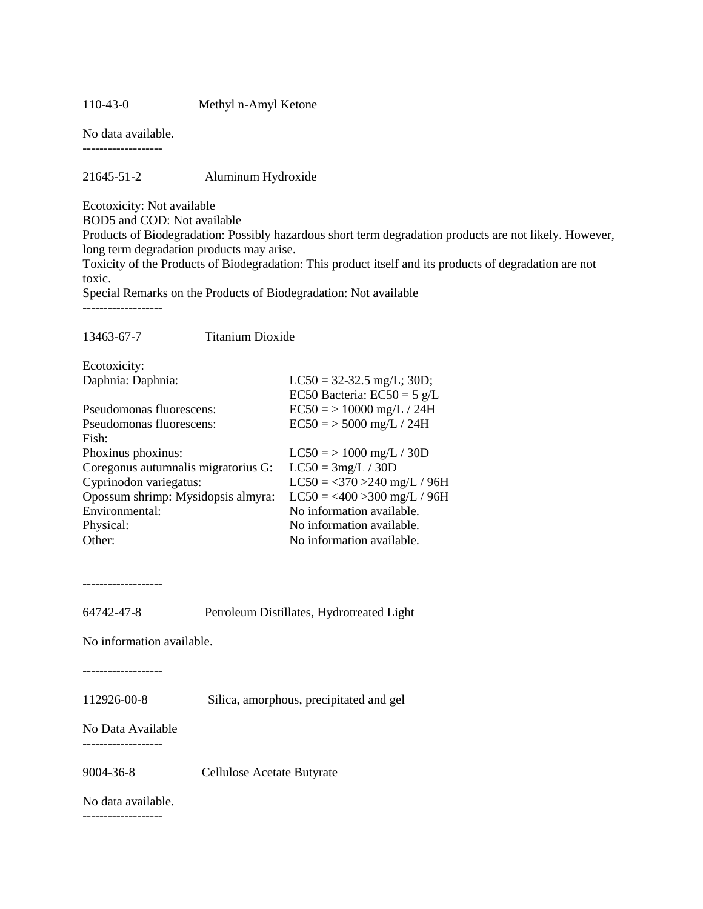# 110-43-0 Methyl n-Amyl Ketone

No data available.

-------------------

# 21645-51-2 Aluminum Hydroxide

Ecotoxicity: Not available

BOD5 and COD: Not available

Products of Biodegradation: Possibly hazardous short term degradation products are not likely. However, long term degradation products may arise.

> $LC50 = 32-32.5$  mg/L; 30D; EC50 Bacteria:  $EC50 = 5$  g/L

Toxicity of the Products of Biodegradation: This product itself and its products of degradation are not toxic.

Special Remarks on the Products of Biodegradation: Not available

-------------------

13463-67-7 Titanium Dioxide

| Ecotoxicity:      |  |
|-------------------|--|
| Daphnia: Daphnia: |  |

|                                     | $1000$ Duviction $1000$                     |
|-------------------------------------|---------------------------------------------|
| Pseudomonas fluorescens:            | $EC50 = > 10000$ mg/L / 24H                 |
| Pseudomonas fluorescens:            | $EC50 = > 5000$ mg/L / 24H                  |
| Fish:                               |                                             |
| Phoxinus phoxinus:                  | $LC50 = > 1000$ mg/L / 30D                  |
| Coregonus autumnalis migratorius G: | $LC50 = 3mg/L / 30D$                        |
| Cyprinodon variegatus:              | $LC50 = \langle 370 \rangle 240 mg/L / 96H$ |
| Opossum shrimp: Mysidopsis almyra:  | $LC50 = <400>300$ mg/L / 96H                |
| Environmental:                      | No information available.                   |
| Physical:                           | No information available.                   |
| Other:                              | No information available.                   |

-------------------

64742-47-8 Petroleum Distillates, Hydrotreated Light

No information available.

-------------------

112926-00-8 Silica, amorphous, precipitated and gel

No Data Available -------------------

9004-36-8 Cellulose Acetate Butyrate

No data available. -------------------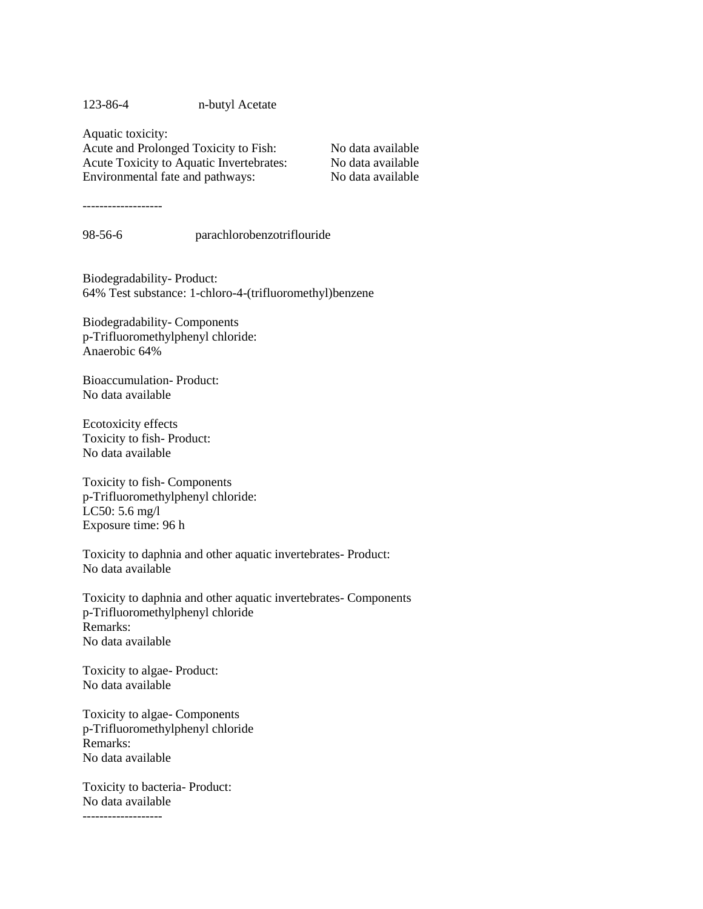123-86-4 n-butyl Acetate

| Aquatic toxicity:                        |                   |
|------------------------------------------|-------------------|
| Acute and Prolonged Toxicity to Fish:    | No data available |
| Acute Toxicity to Aquatic Invertebrates: | No data available |
| Environmental fate and pathways:         | No data available |

-------------------

98-56-6 parachlorobenzotriflouride

Biodegradability- Product: 64% Test substance: 1-chloro-4-(trifluoromethyl)benzene

Biodegradability- Components p-Trifluoromethylphenyl chloride: Anaerobic 64%

Bioaccumulation- Product: No data available

Ecotoxicity effects Toxicity to fish- Product: No data available

Toxicity to fish- Components p-Trifluoromethylphenyl chloride: LC50: 5.6 mg/l Exposure time: 96 h

Toxicity to daphnia and other aquatic invertebrates- Product: No data available

Toxicity to daphnia and other aquatic invertebrates- Components p-Trifluoromethylphenyl chloride Remarks: No data available

Toxicity to algae- Product: No data available

Toxicity to algae- Components p-Trifluoromethylphenyl chloride Remarks: No data available

Toxicity to bacteria- Product: No data available -------------------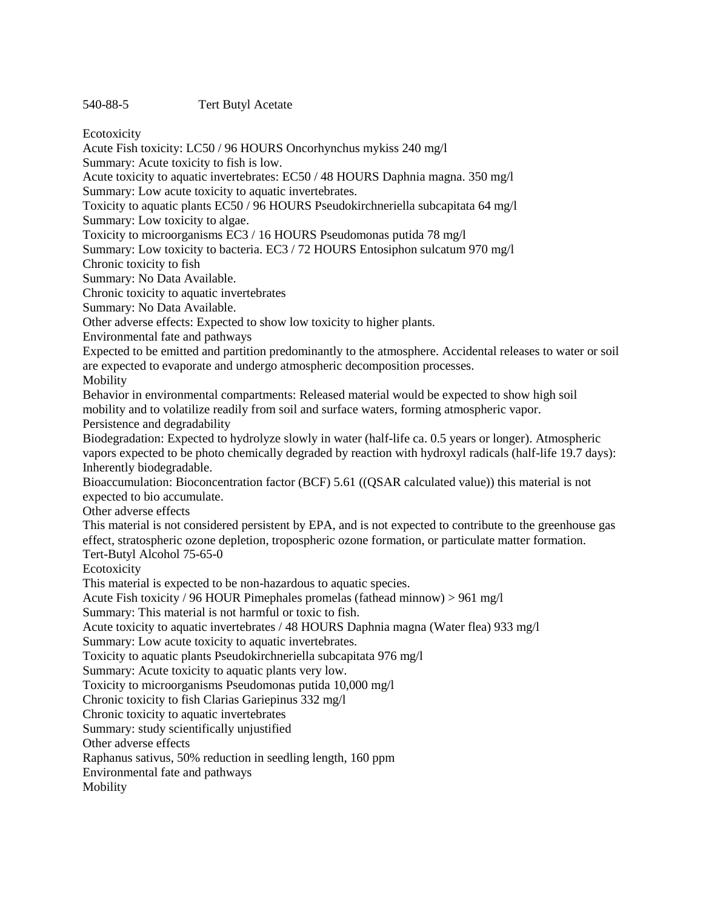540-88-5 Tert Butyl Acetate

Ecotoxicity

Acute Fish toxicity: LC50 / 96 HOURS Oncorhynchus mykiss 240 mg/l Summary: Acute toxicity to fish is low. Acute toxicity to aquatic invertebrates: EC50 / 48 HOURS Daphnia magna. 350 mg/l Summary: Low acute toxicity to aquatic invertebrates. Toxicity to aquatic plants EC50 / 96 HOURS Pseudokirchneriella subcapitata 64 mg/l Summary: Low toxicity to algae. Toxicity to microorganisms EC3 / 16 HOURS Pseudomonas putida 78 mg/l Summary: Low toxicity to bacteria. EC3 / 72 HOURS Entosiphon sulcatum 970 mg/l Chronic toxicity to fish Summary: No Data Available. Chronic toxicity to aquatic invertebrates Summary: No Data Available. Other adverse effects: Expected to show low toxicity to higher plants. Environmental fate and pathways Expected to be emitted and partition predominantly to the atmosphere. Accidental releases to water or soil are expected to evaporate and undergo atmospheric decomposition processes. Mobility Behavior in environmental compartments: Released material would be expected to show high soil mobility and to volatilize readily from soil and surface waters, forming atmospheric vapor. Persistence and degradability Biodegradation: Expected to hydrolyze slowly in water (half-life ca. 0.5 years or longer). Atmospheric vapors expected to be photo chemically degraded by reaction with hydroxyl radicals (half-life 19.7 days): Inherently biodegradable. Bioaccumulation: Bioconcentration factor (BCF) 5.61 ((QSAR calculated value)) this material is not expected to bio accumulate. Other adverse effects This material is not considered persistent by EPA, and is not expected to contribute to the greenhouse gas effect, stratospheric ozone depletion, tropospheric ozone formation, or particulate matter formation. Tert-Butyl Alcohol 75-65-0 Ecotoxicity This material is expected to be non-hazardous to aquatic species. Acute Fish toxicity / 96 HOUR Pimephales promelas (fathead minnow) > 961 mg/l Summary: This material is not harmful or toxic to fish. Acute toxicity to aquatic invertebrates / 48 HOURS Daphnia magna (Water flea) 933 mg/l Summary: Low acute toxicity to aquatic invertebrates. Toxicity to aquatic plants Pseudokirchneriella subcapitata 976 mg/l Summary: Acute toxicity to aquatic plants very low. Toxicity to microorganisms Pseudomonas putida 10,000 mg/l Chronic toxicity to fish Clarias Gariepinus 332 mg/l Chronic toxicity to aquatic invertebrates Summary: study scientifically unjustified Other adverse effects Raphanus sativus, 50% reduction in seedling length, 160 ppm Environmental fate and pathways Mobility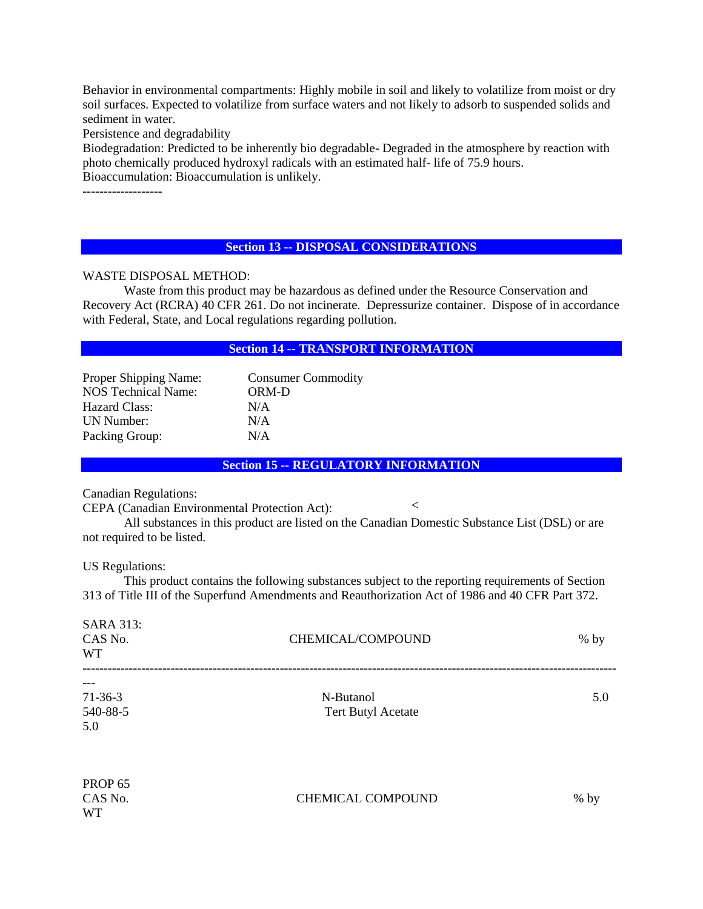Behavior in environmental compartments: Highly mobile in soil and likely to volatilize from moist or dry soil surfaces. Expected to volatilize from surface waters and not likely to adsorb to suspended solids and sediment in water.

Persistence and degradability

Biodegradation: Predicted to be inherently bio degradable- Degraded in the atmosphere by reaction with photo chemically produced hydroxyl radicals with an estimated half- life of 75.9 hours. Bioaccumulation: Bioaccumulation is unlikely.

-------------------

# **Section 13 -- DISPOSAL CONSIDERATIONS**

#### WASTE DISPOSAL METHOD:

Waste from this product may be hazardous as defined under the Resource Conservation and Recovery Act (RCRA) 40 CFR 261. Do not incinerate. Depressurize container. Dispose of in accordance with Federal, State, and Local regulations regarding pollution.

#### **Section 14 -- TRANSPORT INFORMATION**

| Proper Shipping Name:      | <b>Consumer Commodity</b> |
|----------------------------|---------------------------|
| <b>NOS Technical Name:</b> | ORM-D                     |
| Hazard Class:              | N/A                       |
| UN Number:                 | N/A                       |
| Packing Group:             | N/A                       |

CEPA (Canadian Environmental Protection Act):

#### **Section 15 -- REGULATORY INFORMATION**

Canadian Regulations:

 $\,<\,$ 

All substances in this product are listed on the Canadian Domestic Substance List (DSL) or are not required to be listed.

#### US Regulations:

This product contains the following substances subject to the reporting requirements of Section 313 of Title III of the Superfund Amendments and Reauthorization Act of 1986 and 40 CFR Part 372.

| <b>SARA 313:</b><br>CAS No.<br><b>WT</b>   | CHEMICAL/COMPOUND                      | $%$ by |
|--------------------------------------------|----------------------------------------|--------|
| $71-36-3$<br>540-88-5<br>5.0               | N-Butanol<br><b>Tert Butyl Acetate</b> | 5.0    |
| PROP <sub>65</sub><br>CAS No.<br><b>WT</b> | <b>CHEMICAL COMPOUND</b>               | $%$ by |